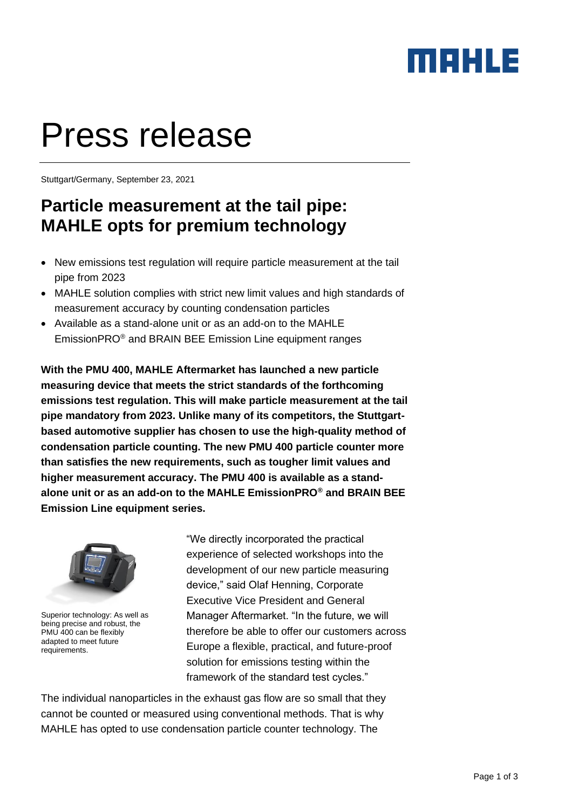### MAHLE

# Press release

Stuttgart/Germany, September 23, 2021

### **Particle measurement at the tail pipe: MAHLE opts for premium technology**

- New emissions test regulation will require particle measurement at the tail pipe from 2023
- MAHLE solution complies with strict new limit values and high standards of measurement accuracy by counting condensation particles
- Available as a stand-alone unit or as an add-on to the MAHLE EmissionPRO® and BRAIN BEE Emission Line equipment ranges

**With the PMU 400, MAHLE Aftermarket has launched a new particle measuring device that meets the strict standards of the forthcoming emissions test regulation. This will make particle measurement at the tail pipe mandatory from 2023. Unlike many of its competitors, the Stuttgartbased automotive supplier has chosen to use the high-quality method of condensation particle counting. The new PMU 400 particle counter more than satisfies the new requirements, such as tougher limit values and higher measurement accuracy. The PMU 400 is available as a standalone unit or as an add-on to the MAHLE EmissionPRO® and BRAIN BEE Emission Line equipment series.** 



Superior technology: As well as being precise and robust, the PMU 400 can be flexibly adapted to meet future requirements.

"We directly incorporated the practical experience of selected workshops into the development of our new particle measuring device," said Olaf Henning, Corporate Executive Vice President and General Manager Aftermarket. "In the future, we will therefore be able to offer our customers across Europe a flexible, practical, and future-proof solution for emissions testing within the framework of the standard test cycles."

The individual nanoparticles in the exhaust gas flow are so small that they cannot be counted or measured using conventional methods. That is why MAHLE has opted to use condensation particle counter technology. The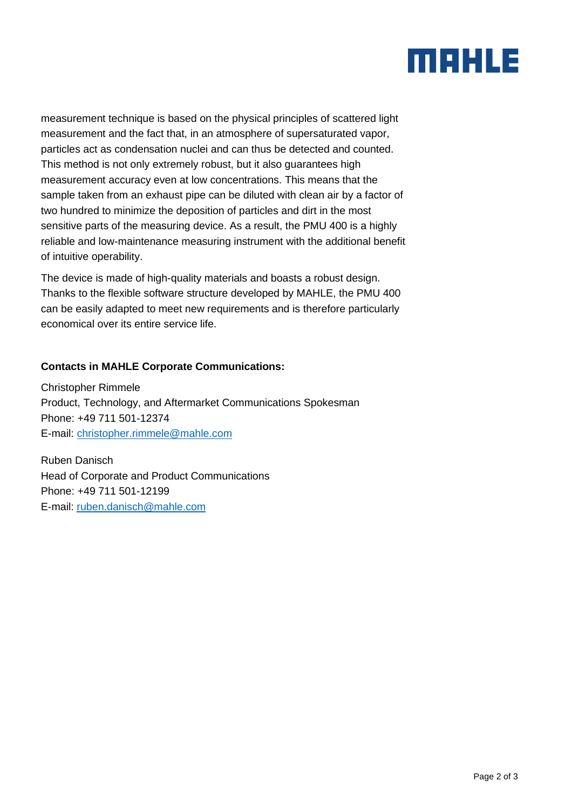## MAHLE

measurement technique is based on the physical principles of scattered light measurement and the fact that, in an atmosphere of supersaturated vapor, particles act as [condensation nuclei](https://www.britannica.com/science/condensation-nucleus) and can thus be detected and counted. This method is not only extremely robust, but it also guarantees high measurement accuracy even at low concentrations. This means that the sample taken from an exhaust pipe can be diluted with clean air by a factor of two hundred to minimize the deposition of particles and dirt in the most sensitive parts of the measuring device. As a result, the PMU 400 is a highly reliable and low-maintenance measuring instrument with the additional benefit of intuitive operability.

The device is made of high-quality materials and boasts a robust design. Thanks to the flexible software structure developed by MAHLE, the PMU 400 can be easily adapted to meet new requirements and is therefore particularly economical over its entire service life.

#### **Contacts in MAHLE Corporate Communications:**

Christopher Rimmele Product, Technology, and Aftermarket Communications Spokesman Phone: +49 711 501-12374 E-mail: [christopher.rimmele@mahle.com](mailto:christopher.rimmele@mahle.com)

Ruben Danisch Head of Corporate and Product Communications Phone: +49 711 501-12199 E-mail: [ruben.danisch@mahle.com](mailto:ruben.danisch@mahle.com)